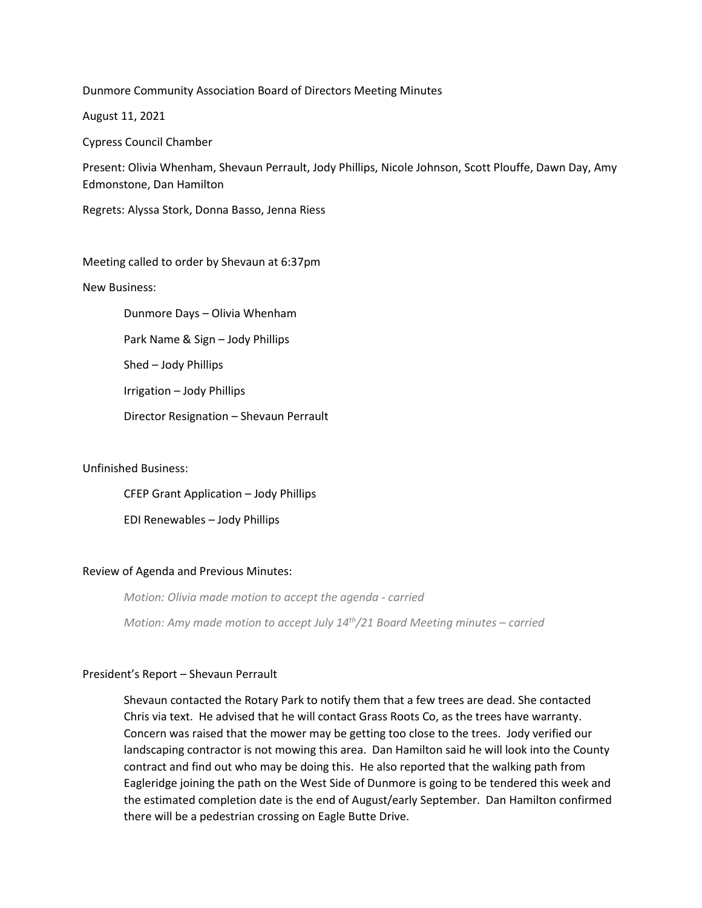Dunmore Community Association Board of Directors Meeting Minutes

August 11, 2021

Cypress Council Chamber

Present: Olivia Whenham, Shevaun Perrault, Jody Phillips, Nicole Johnson, Scott Plouffe, Dawn Day, Amy Edmonstone, Dan Hamilton

Regrets: Alyssa Stork, Donna Basso, Jenna Riess

Meeting called to order by Shevaun at 6:37pm

New Business:

Dunmore Days – Olivia Whenham

Park Name & Sign – Jody Phillips

Shed – Jody Phillips

Irrigation – Jody Phillips

Director Resignation – Shevaun Perrault

## Unfinished Business:

CFEP Grant Application – Jody Phillips

EDI Renewables – Jody Phillips

# Review of Agenda and Previous Minutes:

*Motion: Olivia made motion to accept the agenda - carried Motion: Amy made motion to accept July 14th/21 Board Meeting minutes – carried*

# President's Report – Shevaun Perrault

Shevaun contacted the Rotary Park to notify them that a few trees are dead. She contacted Chris via text. He advised that he will contact Grass Roots Co, as the trees have warranty. Concern was raised that the mower may be getting too close to the trees. Jody verified our landscaping contractor is not mowing this area. Dan Hamilton said he will look into the County contract and find out who may be doing this. He also reported that the walking path from Eagleridge joining the path on the West Side of Dunmore is going to be tendered this week and the estimated completion date is the end of August/early September. Dan Hamilton confirmed there will be a pedestrian crossing on Eagle Butte Drive.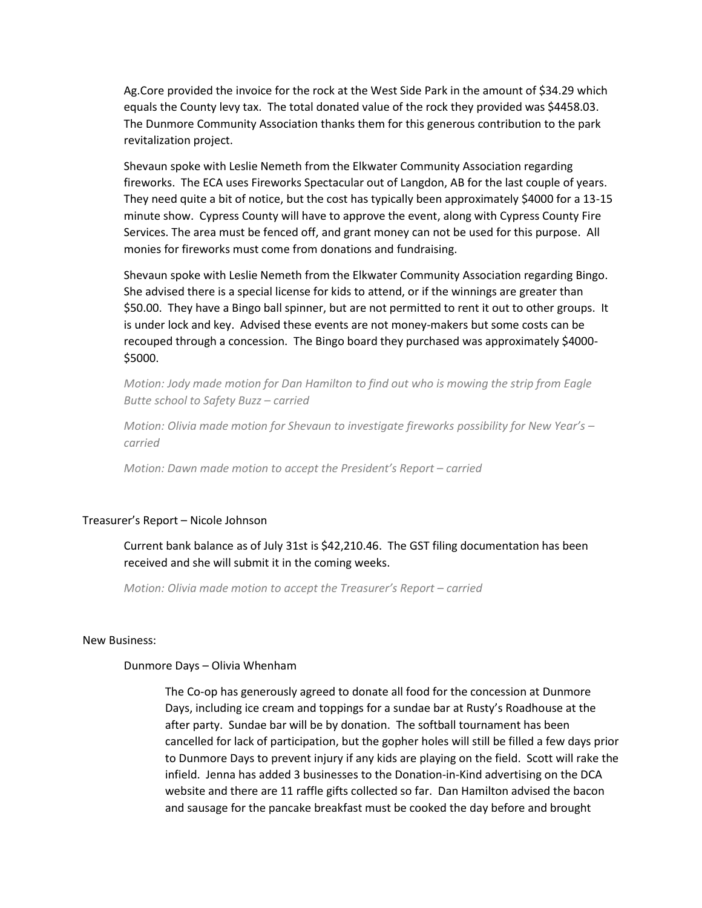Ag.Core provided the invoice for the rock at the West Side Park in the amount of \$34.29 which equals the County levy tax. The total donated value of the rock they provided was \$4458.03. The Dunmore Community Association thanks them for this generous contribution to the park revitalization project.

Shevaun spoke with Leslie Nemeth from the Elkwater Community Association regarding fireworks. The ECA uses Fireworks Spectacular out of Langdon, AB for the last couple of years. They need quite a bit of notice, but the cost has typically been approximately \$4000 for a 13-15 minute show. Cypress County will have to approve the event, along with Cypress County Fire Services. The area must be fenced off, and grant money can not be used for this purpose. All monies for fireworks must come from donations and fundraising.

Shevaun spoke with Leslie Nemeth from the Elkwater Community Association regarding Bingo. She advised there is a special license for kids to attend, or if the winnings are greater than \$50.00. They have a Bingo ball spinner, but are not permitted to rent it out to other groups. It is under lock and key. Advised these events are not money-makers but some costs can be recouped through a concession. The Bingo board they purchased was approximately \$4000- \$5000.

*Motion: Jody made motion for Dan Hamilton to find out who is mowing the strip from Eagle Butte school to Safety Buzz – carried*

*Motion: Olivia made motion for Shevaun to investigate fireworks possibility for New Year's – carried*

*Motion: Dawn made motion to accept the President's Report – carried*

## Treasurer's Report – Nicole Johnson

Current bank balance as of July 31st is \$42,210.46. The GST filing documentation has been received and she will submit it in the coming weeks.

*Motion: Olivia made motion to accept the Treasurer's Report – carried*

## New Business:

## Dunmore Days – Olivia Whenham

The Co-op has generously agreed to donate all food for the concession at Dunmore Days, including ice cream and toppings for a sundae bar at Rusty's Roadhouse at the after party. Sundae bar will be by donation. The softball tournament has been cancelled for lack of participation, but the gopher holes will still be filled a few days prior to Dunmore Days to prevent injury if any kids are playing on the field. Scott will rake the infield. Jenna has added 3 businesses to the Donation-in-Kind advertising on the DCA website and there are 11 raffle gifts collected so far. Dan Hamilton advised the bacon and sausage for the pancake breakfast must be cooked the day before and brought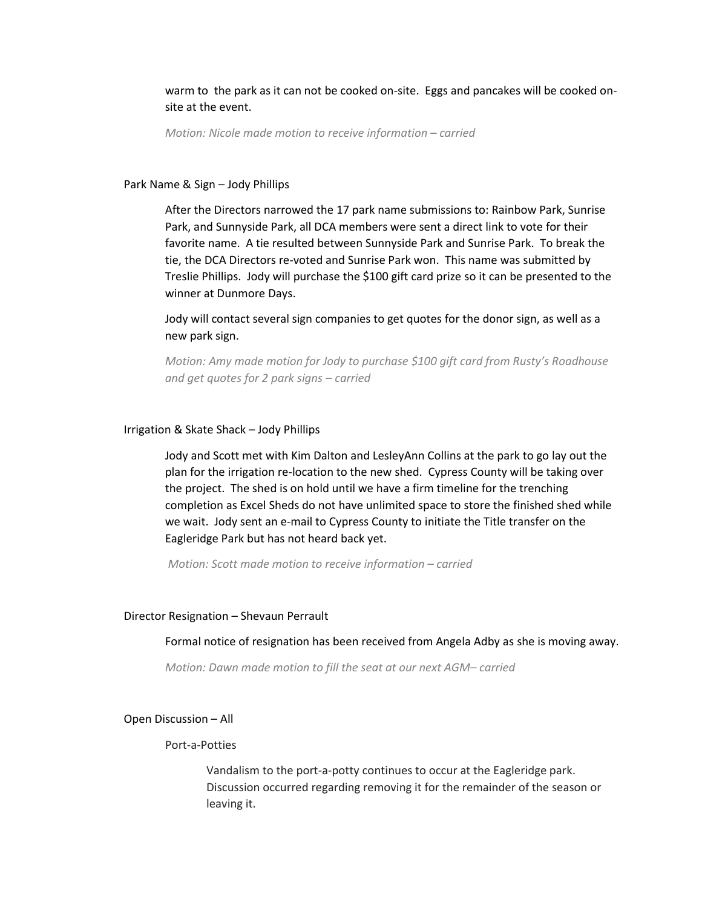warm to the park as it can not be cooked on-site. Eggs and pancakes will be cooked onsite at the event.

*Motion: Nicole made motion to receive information – carried* 

### Park Name & Sign – Jody Phillips

After the Directors narrowed the 17 park name submissions to: Rainbow Park, Sunrise Park, and Sunnyside Park, all DCA members were sent a direct link to vote for their favorite name. A tie resulted between Sunnyside Park and Sunrise Park. To break the tie, the DCA Directors re-voted and Sunrise Park won. This name was submitted by Treslie Phillips. Jody will purchase the \$100 gift card prize so it can be presented to the winner at Dunmore Days.

Jody will contact several sign companies to get quotes for the donor sign, as well as a new park sign.

*Motion: Amy made motion for Jody to purchase \$100 gift card from Rusty's Roadhouse and get quotes for 2 park signs – carried*

### Irrigation & Skate Shack – Jody Phillips

Jody and Scott met with Kim Dalton and LesleyAnn Collins at the park to go lay out the plan for the irrigation re-location to the new shed. Cypress County will be taking over the project. The shed is on hold until we have a firm timeline for the trenching completion as Excel Sheds do not have unlimited space to store the finished shed while we wait. Jody sent an e-mail to Cypress County to initiate the Title transfer on the Eagleridge Park but has not heard back yet.

*Motion: Scott made motion to receive information – carried*

#### Director Resignation – Shevaun Perrault

Formal notice of resignation has been received from Angela Adby as she is moving away.

*Motion: Dawn made motion to fill the seat at our next AGM– carried*

## Open Discussion – All

#### Port-a-Potties

Vandalism to the port-a-potty continues to occur at the Eagleridge park. Discussion occurred regarding removing it for the remainder of the season or leaving it.